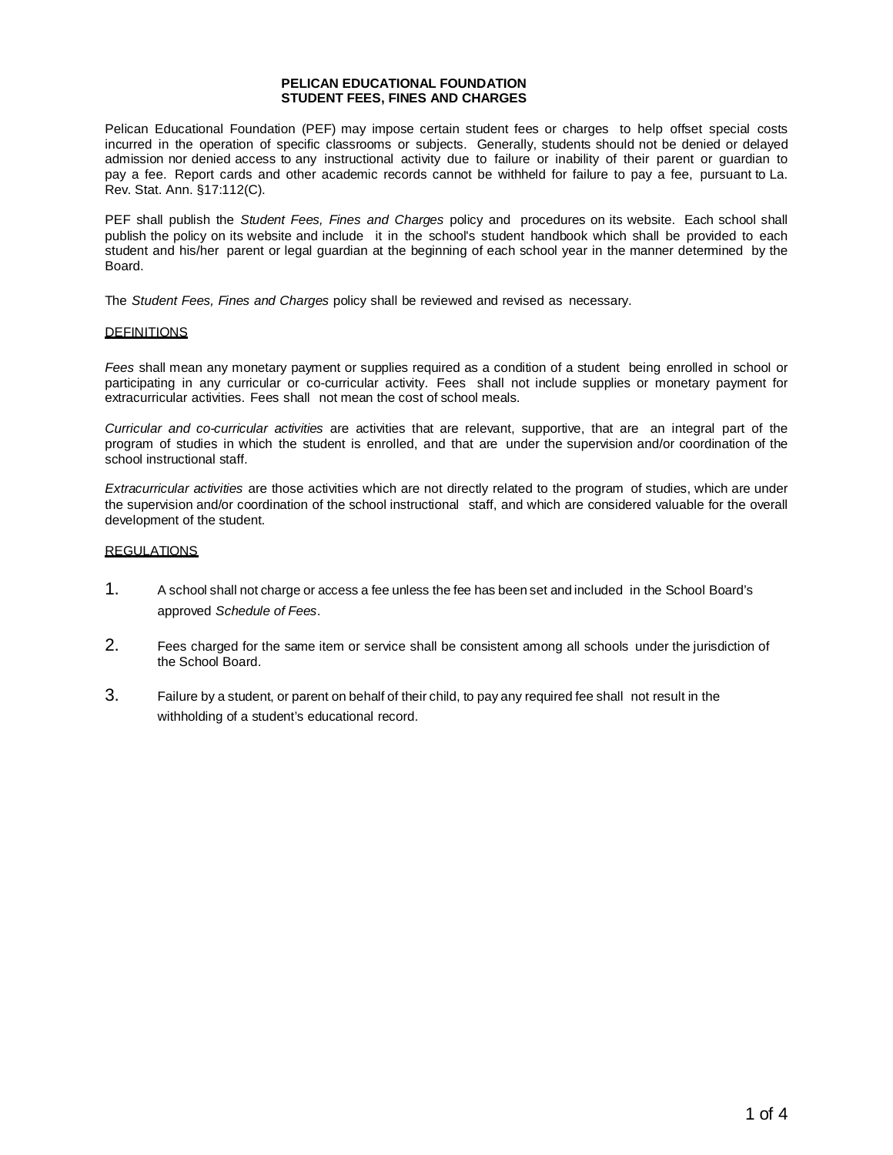#### **PELICAN EDUCATIONAL FOUNDATION STUDENT FEES, FINES AND CHARGES**

Pelican Educational Foundation (PEF) may impose certain student fees or charges to help offset special costs incurred in the operation of specific classrooms or subjects. Generally, students should not be denied or delayed admission nor denied access to any instructional activity due to failure or inability of their parent or guardian to pay a fee. Report cards and other academic records cannot be withheld for failure to pay a fee, pursuant to La. Rev. Stat. Ann. [§17:112\(C\).](http://www.legis.la.gov/Legis/Law.aspx?d=79759)

PEF shall publish the *Student Fees, Fines and Charges* policy and procedures on its website. Each school shall publish the policy on its website and include it in the school's student handbook which shall be provided to each student and his/her parent or legal guardian at the beginning of each school year in the manner determined by the Board.

The *Student Fees, Fines and Charges* policy shall be reviewed and revised as necessary.

#### **DEFINITIONS**

*Fees* shall mean any monetary payment or supplies required as a condition of a student being enrolled in school or participating in any curricular or co-curricular activity. Fees shall not include supplies or monetary payment for extracurricular activities. Fees shall not mean the cost of school meals.

*Curricular and co-curricular activities* are activities that are relevant, supportive, that are an integral part of the program of studies in which the student is enrolled, and that are under the supervision and/or coordination of the school instructional staff.

*Extracurricular activities* are those activities which are not directly related to the program of studies, which are under the supervision and/or coordination of the school instructional staff, and which are considered valuable for the overall development of the student.

# **REGULATIONS**

- 1. A school shall not charge or access a fee unless the fee has been set and included in the School Board's approved *Schedule of Fees*.
- 2. Fees charged for the same item or service shall be consistent among all schools under the jurisdiction of the School Board.
- 3. Failure by a student, or parent on behalf of their child, to pay any required fee shall not result in the withholding of a student's educational record.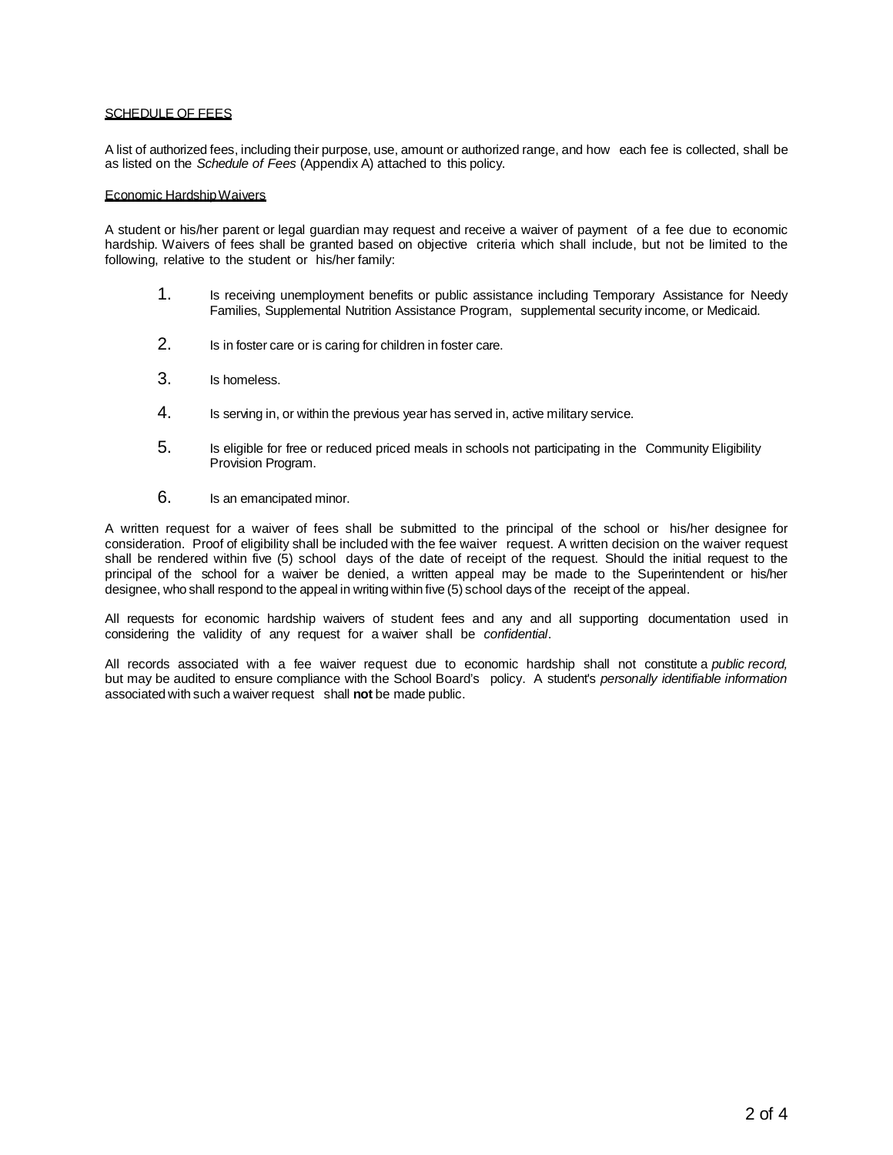## SCHEDULE OF FEES

A list of authorized fees, including their purpose, use, amount or authorized range, and how each fee is collected, shall be as listed on the *Schedule of Fees* (Appendix A) attached to this policy.

## Economic HardshipWaivers

A student or his/her parent or legal guardian may request and receive a waiver of payment of a fee due to economic hardship. Waivers of fees shall be granted based on objective criteria which shall include, but not be limited to the following, relative to the student or his/her family:

- 1. Is receiving unemployment benefits or public assistance including Temporary Assistance for Needy Families, Supplemental Nutrition Assistance Program, supplemental security income, or Medicaid.
- 2. Is in foster care or is caring for children in foster care.
- 3. Is homeless.
- 4. Is serving in, or within the previous year has served in, active military service.
- 5. Is eligible for free or reduced priced meals in schools not participating in the Community Eligibility Provision Program.
- 6. Is an emancipated minor.

A written request for a waiver of fees shall be submitted to the principal of the school or his/her designee for consideration. Proof of eligibility shall be included with the fee waiver request. A written decision on the waiver request shall be rendered within five (5) school days of the date of receipt of the request. Should the initial request to the principal of the school for a waiver be denied, a written appeal may be made to the Superintendent or his/her designee, who shall respond to the appeal in writing within five (5) school days of the receipt of the appeal.

All requests for economic hardship waivers of student fees and any and all supporting documentation used in considering the validity of any request for a waiver shall be *confidential*.

All records associated with a fee waiver request due to economic hardship shall not constitute a *public record,* but may be audited to ensure compliance with the School Board's policy. A student's *personally identifiable information* associated with such a waiver request shall **not** be made public.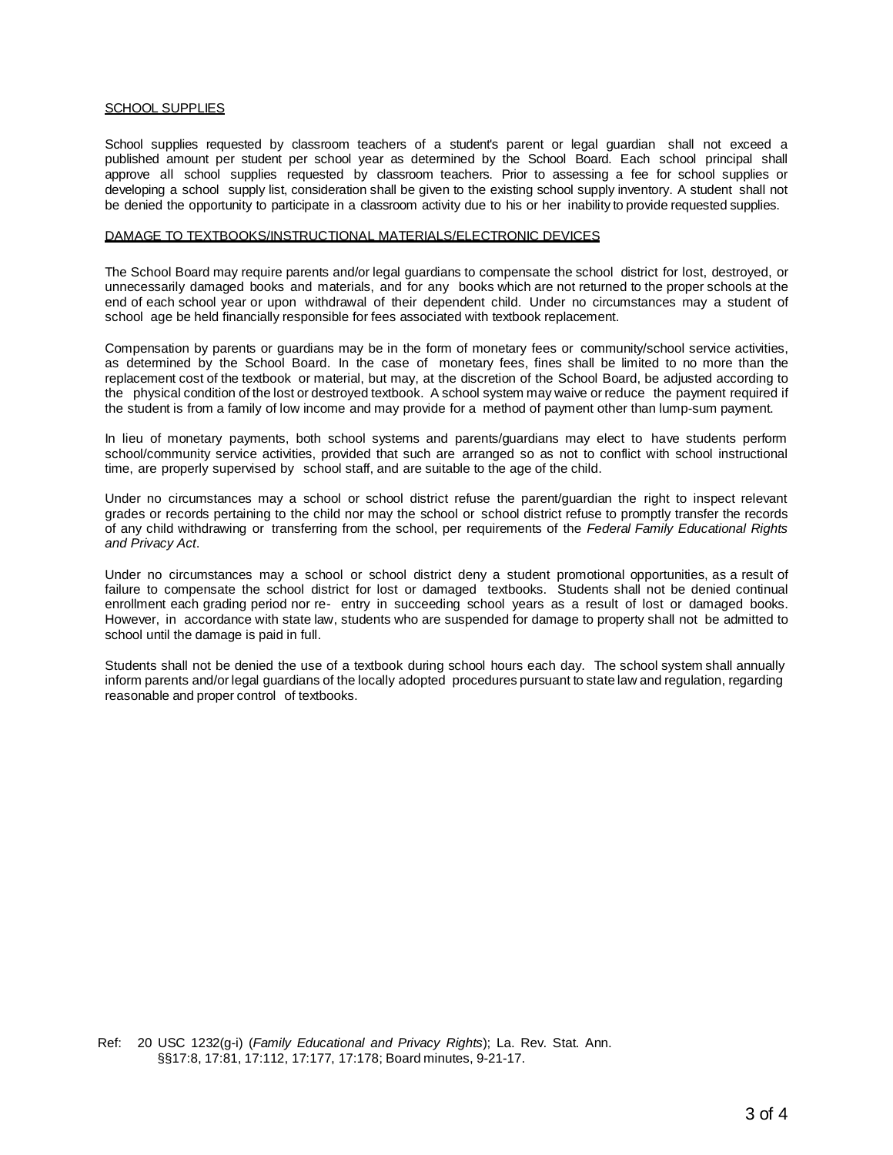#### SCHOOL SUPPLIES

School supplies requested by classroom teachers of a student's parent or legal guardian shall not exceed a published amount per student per school year as determined by the School Board. Each school principal shall approve all school supplies requested by classroom teachers. Prior to assessing a fee for school supplies or developing a school supply list, consideration shall be given to the existing school supply inventory. A student shall not be denied the opportunity to participate in a classroom activity due to his or her inability to provide requested supplies.

# DAMAGE TO TEXTBOOKS/INSTRUCTIONAL MATERIALS/ELECTRONIC DEVICES

The School Board may require parents and/or legal guardians to compensate the school district for lost, destroyed, or unnecessarily damaged books and materials, and for any books which are not returned to the proper schools at the end of each school year or upon withdrawal of their dependent child. Under no circumstances may a student of school age be held financially responsible for fees associated with textbook replacement.

Compensation by parents or guardians may be in the form of monetary fees or community/school service activities, as determined by the School Board. In the case of monetary fees, fines shall be limited to no more than the replacement cost of the textbook or material, but may, at the discretion of the School Board, be adjusted according to the physical condition of the lost or destroyed textbook. A school system may waive or reduce the payment required if the student is from a family of low income and may provide for a method of payment other than lump-sum payment.

In lieu of monetary payments, both school systems and parents/guardians may elect to have students perform school/community service activities, provided that such are arranged so as not to conflict with school instructional time, are properly supervised by school staff, and are suitable to the age of the child.

Under no circumstances may a school or school district refuse the parent/guardian the right to inspect relevant grades or records pertaining to the child nor may the school or school district refuse to promptly transfer the records of any child withdrawing or transferring from the school, per requirements of the *Federal Family Educational Rights and Privacy Act*.

Under no circumstances may a school or school district deny a student promotional opportunities, as a result of failure to compensate the school district for lost or damaged textbooks. Students shall not be denied continual enrollment each grading period nor re- entry in succeeding school years as a result of lost or damaged books. However, in accordance with state law, students who are suspended for damage to property shall not be admitted to school until the damage is paid in full.

Students shall not be denied the use of a textbook during school hours each day. The school system shall annually inform parents and/or legal guardians of the locally adopted procedures pursuant to state law and regulation, regarding reasonable and proper control of textbooks.